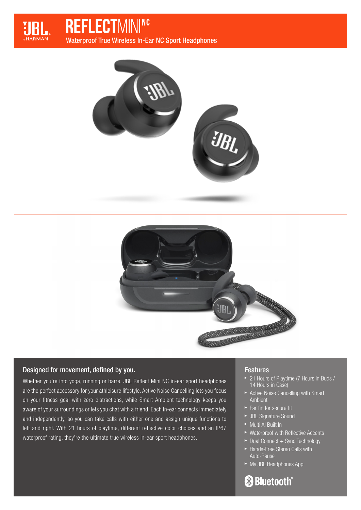

# **REFLECTMINING**

Waterproof True Wireless In-Ear NC Sport Headphones





## Designed for movement, defined by you.

Whether you're into yoga, running or barre, JBL Reflect Mini NC in-ear sport headphones are the perfect accessory for your athleisure lifestyle. Active Noise Cancelling lets you focus on your fitness goal with zero distractions, while Smart Ambient technology keeps you aware of your surroundings or lets you chat with a friend. Each in-ear connects immediately and independently, so you can take calls with either one and assign unique functions to left and right. With 21 hours of playtime, different reflective color choices and an IP67 waterproof rating, they're the ultimate true wireless in-ear sport headphones.

## Features

- ▶ 21 Hours of Playtime (7 Hours in Buds / 14 Hours in Case)
- Active Noise Cancelling with Smart Ambient
- $\blacktriangleright$  Ear fin for secure fit
- JBL Signature Sound
- Multi AI Built In
- ▶ Waterproof with Reflective Accents
- $\blacktriangleright$  Dual Connect + Sync Technology
- Hands-Free Stereo Calls with Auto-Pause
- ► My JBL Headphones App